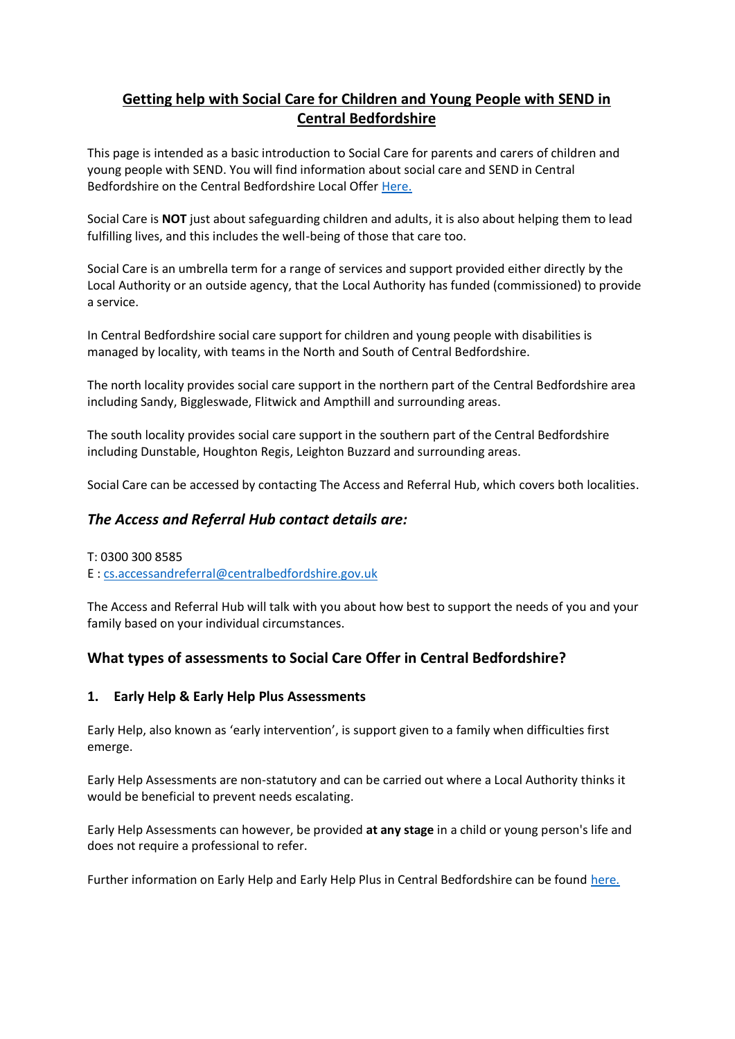# **Getting help with Social Care for Children and Young People with SEND in Central Bedfordshire**

This page is intended as a basic introduction to Social Care for parents and carers of children and young people with SEND. You will find information about social care and SEND in Central Bedfordshire on the Central Bedfordshire Local Offer [Here.](https://localoffer.centralbedfordshire.gov.uk/kb5/centralbedfordshire/directory/localoffer.page?localofferchannel=4)

Social Care is **NOT** just about safeguarding children and adults, it is also about helping them to lead fulfilling lives, and this includes the well-being of those that care too.

Social Care is an umbrella term for a range of services and support provided either directly by the Local Authority or an outside agency, that the Local Authority has funded (commissioned) to provide a service.

In Central Bedfordshire social care support for children and young people with disabilities is managed by locality, with teams in the North and South of Central Bedfordshire.

The north locality provides social care support in the northern part of the Central Bedfordshire area including Sandy, Biggleswade, Flitwick and Ampthill and surrounding areas.

The south locality provides social care support in the southern part of the Central Bedfordshire including Dunstable, Houghton Regis, Leighton Buzzard and surrounding areas.

Social Care can be accessed by contacting The Access and Referral Hub, which covers both localities.

## *The Access and Referral Hub contact details are:*

#### T: 0300 300 8585

E : [cs.accessandreferral@centralbedfordshire.gov.uk](mailto:cs.accessandreferral@centralbedfordshire.gov.uk)

The Access and Referral Hub will talk with you about how best to support the needs of you and your family based on your individual circumstances.

# **What types of assessments to Social Care Offer in Central Bedfordshire?**

## **1. Early Help & Early Help Plus Assessments**

Early Help, also known as 'early intervention', is support given to a family when difficulties first emerge.

Early Help Assessments are non-statutory and can be carried out where a Local Authority thinks it would be beneficial to prevent needs escalating.

Early Help Assessments can however, be provided **at any stage** in a child or young person's life and does not require a professional to refer.

Further information on Early Help and Early Help Plus in Central Bedfordshire can be found [here.](https://localoffer.centralbedfordshire.gov.uk/kb5/centralbedfordshire/directory/localoffer.page?localofferchannel=4)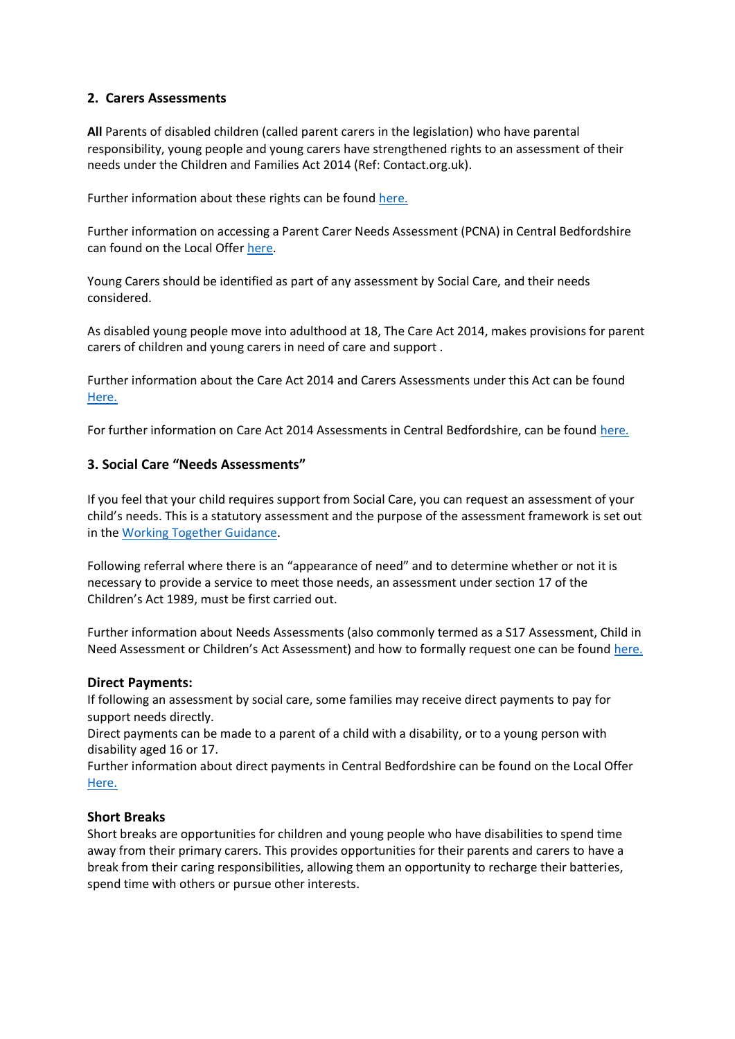## **2. Carers Assessments**

**All** Parents of disabled children (called parent carers in the legislation) who have parental responsibility, young people and young carers have strengthened rights to an assessment of their needs under the Children and Families Act 2014 (Ref: Contact.org.uk).

Further information about these rights can be found [here.](https://contact.org.uk/wp-content/uploads/2021/03/Carers-assessments.pdf)

Further information on accessing a Parent Carer Needs Assessment (PCNA) in Central Bedfordshire can found on the Local Offer [here.](https://localoffer.centralbedfordshire.gov.uk/kb5/centralbedfordshire/directory/advice.page?id=bUYyN5M6uZc) 

Young Carers should be identified as part of any assessment by Social Care, and their needs considered.

As disabled young people move into adulthood at 18, The Care Act 2014, makes provisions for parent carers of children and young carers in need of care and support .

Further information about the Care Act 2014 and Carers Assessments under this Act can be found [Here.](https://www.carersuk.org/help-and-advice/practical-support/getting-care-and-support/carers-assessment)

For further information on Care Act 2014 Assessments in Central Bedfordshire, can be found [here.](https://www.centralbedfordshire.gov.uk/info/18/health_and_social_care/337/getting_care_and_support)

### **3. Social Care "Needs Assessments"**

If you feel that your child requires support from Social Care, you can request an assessment of your child's needs. This is a statutory assessment and the purpose of the assessment framework is set out in the [Working Together Guidance.](https://www.gov.uk/government/publications/working-together-to-safeguard-children--2)

Following referral where there is an "appearance of need" and to determine whether or not it is necessary to provide a service to meet those needs, an assessment under section 17 of the Children's Act 1989, must be first carried out.

Further information about Needs Assessments (also commonly termed as a S17 Assessment, Child in Need Assessment or Children's Act Assessment) and how to formally request one can be found [here.](https://contact.org.uk/help-for-families/information-advice-services/social-care/how-to-access-services/needs-assessments/)

#### **Direct Payments:**

If following an assessment by social care, some families may receive direct payments to pay for support needs directly.

Direct payments can be made to a parent of a child with a disability, or to a young person with disability aged 16 or 17.

Further information about direct payments in Central Bedfordshire can be found on the Local Offer [Here.](https://localoffer.centralbedfordshire.gov.uk/kb5/centralbedfordshire/directory/localoffer.page?localofferchannel=4)

#### **Short Breaks**

Short breaks are opportunities for children and young people who have disabilities to spend time away from their primary carers. This provides opportunities for their parents and carers to have a break from their caring responsibilities, allowing them an opportunity to recharge their batteries, spend time with others or pursue other interests.